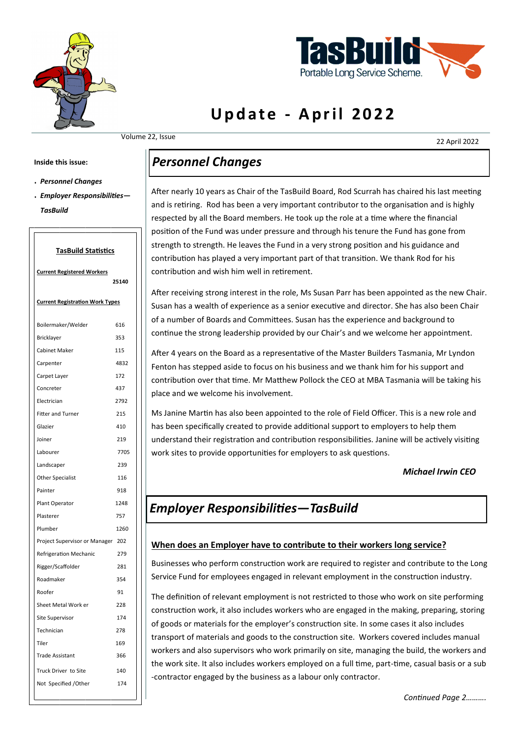



# **Update - April 2022**

Volume 22, Issue

22 April 2022

#### **Inside this issue:**

- *Personnel Changes*
- *Employer Responsibilities— TasBuild*

#### **TasBuild Statistics**

| <b>Current Registered Workers</b>      |       |
|----------------------------------------|-------|
|                                        | 25140 |
| <b>Current Registration Work Types</b> |       |
| Boilermaker/Welder                     | 616   |
| Bricklayer                             | 353   |
| <b>Cabinet Maker</b>                   | 115   |
| Carpenter                              | 4832  |
| Carpet Layer                           | 172   |
| Concreter                              | 437   |
| Electrician                            | 2792  |
| <b>Fitter and Turner</b>               | 215   |
| Glazier                                | 410   |
| Joiner                                 | 219   |
| Labourer                               | 7705  |
| Landscaper                             | 239   |
| <b>Other Specialist</b>                | 116   |
| Painter                                | 918   |
| Plant Operator                         | 1248  |
| Plasterer                              | 757   |
| Plumber                                | 1260  |
| Project Supervisor or Manager 202      |       |
| Refrigeration Mechanic                 | 279   |
| Rigger/Scaffolder                      | 281   |
| Roadmaker                              | 354   |
| Roofer                                 | 91    |
| Sheet Metal Work er                    | 228   |
| Site Supervisor                        | 174   |
| Technician                             | 278   |
| Tiler                                  | 169   |
| <b>Trade Assistant</b>                 | 366   |
| Truck Driver to Site                   | 140   |
| Not Specified / Other                  | 174   |

## *Personnel Changes*

After nearly 10 years as Chair of the TasBuild Board, Rod Scurrah has chaired his last meeting and is retiring. Rod has been a very important contributor to the organisation and is highly respected by all the Board members. He took up the role at a time where the financial position of the Fund was under pressure and through his tenure the Fund has gone from strength to strength. He leaves the Fund in a very strong position and his guidance and contribution has played a very important part of that transition. We thank Rod for his contribution and wish him well in retirement.

After receiving strong interest in the role, Ms Susan Parr has been appointed as the new Chair. Susan has a wealth of experience as a senior executive and director. She has also been Chair of a number of Boards and Committees. Susan has the experience and background to continue the strong leadership provided by our Chair's and we welcome her appointment.

After 4 years on the Board as a representative of the Master Builders Tasmania, Mr Lyndon Fenton has stepped aside to focus on his business and we thank him for his support and contribution over that time. Mr Matthew Pollock the CEO at MBA Tasmania will be taking his place and we welcome his involvement.

Ms Janine Martin has also been appointed to the role of Field Officer. This is a new role and has been specifically created to provide additional support to employers to help them understand their registration and contribution responsibilities. Janine will be actively visiting work sites to provide opportunities for employers to ask questions.

#### *Michael Irwin CEO*

### *Employer Responsibilities—TasBuild*

#### **When does an Employer have to contribute to their workers long service?**

Businesses who perform construction work are required to register and contribute to the Long Service Fund for employees engaged in relevant employment in the construction industry.

The definition of relevant employment is not restricted to those who work on site performing construction work, it also includes workers who are engaged in the making, preparing, storing of goods or materials for the employer's construction site. In some cases it also includes transport of materials and goods to the construction site. Workers covered includes manual workers and also supervisors who work primarily on site, managing the build, the workers and the work site. It also includes workers employed on a full time, part-time, casual basis or a sub -contractor engaged by the business as a labour only contractor.

*Continued Page 2……….*